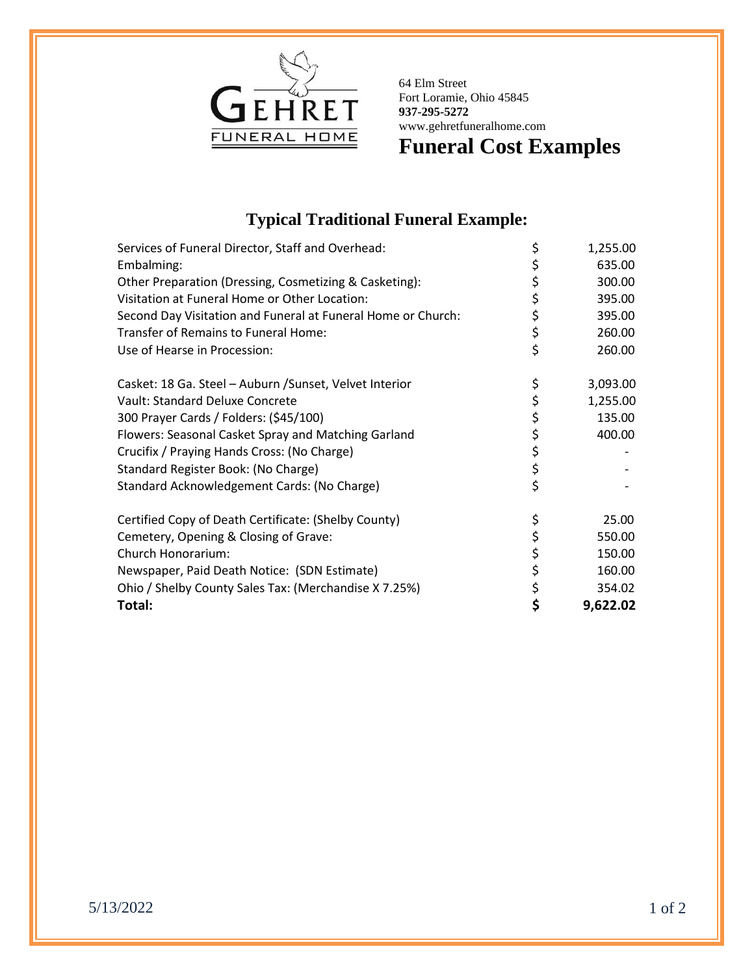

64 Elm Street Fort Loramie, Ohio 45845 **937-295-5272** www.gehretfuneralhome.com

**Funeral Cost Examples**

## **Typical Traditional Funeral Example:**

| Services of Funeral Director, Staff and Overhead:            | \$       | 1,255.00 |
|--------------------------------------------------------------|----------|----------|
| Embalming:                                                   | \$       | 635.00   |
| Other Preparation (Dressing, Cosmetizing & Casketing):       | \$       | 300.00   |
| Visitation at Funeral Home or Other Location:                | \$       | 395.00   |
| Second Day Visitation and Funeral at Funeral Home or Church: | \$       | 395.00   |
| Transfer of Remains to Funeral Home:                         | \$       | 260.00   |
| Use of Hearse in Procession:                                 | \$       | 260.00   |
| Casket: 18 Ga. Steel - Auburn / Sunset, Velvet Interior      | \$       | 3,093.00 |
| Vault: Standard Deluxe Concrete                              | \$       | 1,255.00 |
| 300 Prayer Cards / Folders: (\$45/100)                       | \$<br>\$ | 135.00   |
| Flowers: Seasonal Casket Spray and Matching Garland          |          | 400.00   |
| Crucifix / Praying Hands Cross: (No Charge)                  | \$       |          |
| Standard Register Book: (No Charge)                          | \$       |          |
| Standard Acknowledgement Cards: (No Charge)                  | \$       |          |
| Certified Copy of Death Certificate: (Shelby County)         | \$       | 25.00    |
| Cemetery, Opening & Closing of Grave:                        | \$       | 550.00   |
| Church Honorarium:                                           | \$       | 150.00   |
| Newspaper, Paid Death Notice: (SDN Estimate)                 | \$       | 160.00   |
| Ohio / Shelby County Sales Tax: (Merchandise X 7.25%)        | \$       | 354.02   |
| Total:                                                       | \$       | 9,622.02 |